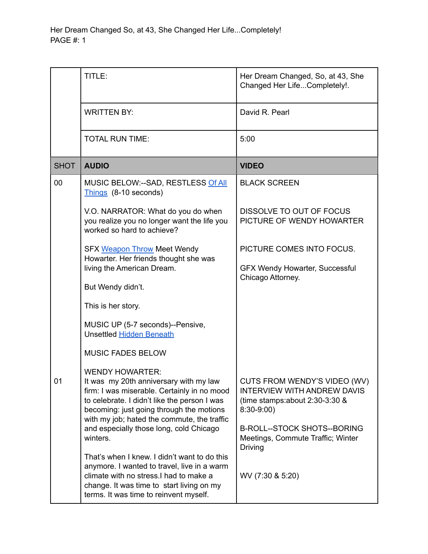Her Dream Changed So, at 43, She Changed Her Life...Completely! PAGE #: 1

|             | TITLE:                                                                                                                                                                                                                                                     | Her Dream Changed, So, at 43, She<br>Changed Her LifeCompletely!.                                                                                            |
|-------------|------------------------------------------------------------------------------------------------------------------------------------------------------------------------------------------------------------------------------------------------------------|--------------------------------------------------------------------------------------------------------------------------------------------------------------|
|             | <b>WRITTEN BY:</b>                                                                                                                                                                                                                                         | David R. Pearl                                                                                                                                               |
|             | <b>TOTAL RUN TIME:</b>                                                                                                                                                                                                                                     | 5:00                                                                                                                                                         |
| <b>SHOT</b> | <b>AUDIO</b>                                                                                                                                                                                                                                               | <b>VIDEO</b>                                                                                                                                                 |
| 00          | MUSIC BELOW:--SAD, RESTLESS Of All<br>Things (8-10 seconds)                                                                                                                                                                                                | <b>BLACK SCREEN</b>                                                                                                                                          |
|             | V.O. NARRATOR: What do you do when<br>you realize you no longer want the life you<br>worked so hard to achieve?                                                                                                                                            | DISSOLVE TO OUT OF FOCUS<br>PICTURE OF WENDY HOWARTER                                                                                                        |
|             | <b>SFX Weapon Throw Meet Wendy</b>                                                                                                                                                                                                                         | PICTURE COMES INTO FOCUS.                                                                                                                                    |
|             | Howarter. Her friends thought she was<br>living the American Dream.                                                                                                                                                                                        | <b>GFX Wendy Howarter, Successful</b>                                                                                                                        |
|             | But Wendy didn't.                                                                                                                                                                                                                                          | Chicago Attorney.                                                                                                                                            |
|             | This is her story.                                                                                                                                                                                                                                         |                                                                                                                                                              |
|             | MUSIC UP (5-7 seconds)--Pensive,<br><b>Unsettled Hidden Beneath</b>                                                                                                                                                                                        |                                                                                                                                                              |
|             | <b>MUSIC FADES BELOW</b>                                                                                                                                                                                                                                   |                                                                                                                                                              |
| 01          | <b>WENDY HOWARTER:</b><br>It was my 20th anniversary with my law<br>firm: I was miserable. Certainly in no mood<br>to celebrate. I didn't like the person I was<br>becoming: just going through the motions<br>with my job; hated the commute, the traffic | CUTS FROM WENDY'S VIDEO (WV)<br><b>INTERVIEW WITH ANDREW DAVIS</b><br>(time stamps: about $2:30-3:30$ &<br>$8:30-9:00$<br><b>B-ROLL--STOCK SHOTS--BORING</b> |
|             | and especially those long, cold Chicago<br>winters.                                                                                                                                                                                                        | Meetings, Commute Traffic; Winter<br><b>Driving</b>                                                                                                          |
|             | That's when I knew. I didn't want to do this<br>anymore. I wanted to travel, live in a warm<br>climate with no stress. I had to make a<br>change. It was time to start living on my<br>terms. It was time to reinvent myself.                              | WV (7:30 & 5:20)                                                                                                                                             |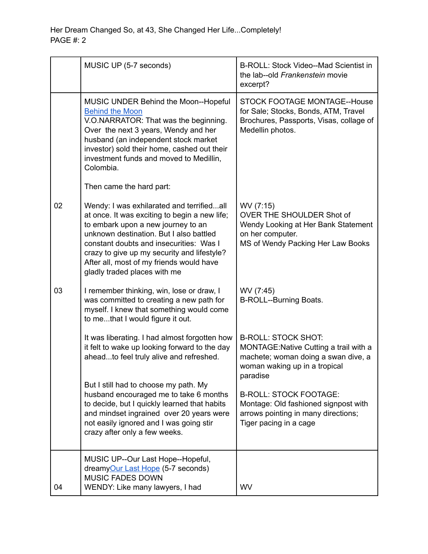|    | MUSIC UP (5-7 seconds)                                                                                                                                                                                                                                                                                                                            | B-ROLL: Stock Video--Mad Scientist in<br>the lab--old Frankenstein movie<br>excerpt?                                                                     |
|----|---------------------------------------------------------------------------------------------------------------------------------------------------------------------------------------------------------------------------------------------------------------------------------------------------------------------------------------------------|----------------------------------------------------------------------------------------------------------------------------------------------------------|
|    | MUSIC UNDER Behind the Moon--Hopeful<br><b>Behind the Moon</b><br>V.O.NARRATOR: That was the beginning.<br>Over the next 3 years, Wendy and her<br>husband (an independent stock market<br>investor) sold their home, cashed out their<br>investment funds and moved to Medillin,<br>Colombia.                                                    | STOCK FOOTAGE MONTAGE--House<br>for Sale; Stocks, Bonds, ATM, Travel<br>Brochures, Passports, Visas, collage of<br>Medellin photos.                      |
|    | Then came the hard part:                                                                                                                                                                                                                                                                                                                          |                                                                                                                                                          |
| 02 | Wendy: I was exhilarated and terrifiedall<br>at once. It was exciting to begin a new life;<br>to embark upon a new journey to an<br>unknown destination. But I also battled<br>constant doubts and insecurities: Was I<br>crazy to give up my security and lifestyle?<br>After all, most of my friends would have<br>gladly traded places with me | WV (7:15)<br>OVER THE SHOULDER Shot of<br>Wendy Looking at Her Bank Statement<br>on her computer.<br>MS of Wendy Packing Her Law Books                   |
| 03 | I remember thinking, win, lose or draw, I<br>was committed to creating a new path for<br>myself. I knew that something would come<br>to methat I would figure it out.                                                                                                                                                                             | WV (7:45)<br>B-ROLL--Burning Boats.                                                                                                                      |
|    | It was liberating. I had almost forgotten how<br>it felt to wake up looking forward to the day<br>aheadto feel truly alive and refreshed.                                                                                                                                                                                                         | <b>B-ROLL: STOCK SHOT:</b><br>MONTAGE: Native Cutting a trail with a<br>machete; woman doing a swan dive, a<br>woman waking up in a tropical<br>paradise |
|    | But I still had to choose my path. My<br>husband encouraged me to take 6 months<br>to decide, but I quickly learned that habits<br>and mindset ingrained over 20 years were<br>not easily ignored and I was going stir<br>crazy after only a few weeks.                                                                                           | <b>B-ROLL: STOCK FOOTAGE:</b><br>Montage: Old fashioned signpost with<br>arrows pointing in many directions;<br>Tiger pacing in a cage                   |
|    | MUSIC UP--Our Last Hope--Hopeful,<br>dreamyOur Last Hope (5-7 seconds)<br><b>MUSIC FADES DOWN</b>                                                                                                                                                                                                                                                 |                                                                                                                                                          |
| 04 | WENDY: Like many lawyers, I had                                                                                                                                                                                                                                                                                                                   | <b>WV</b>                                                                                                                                                |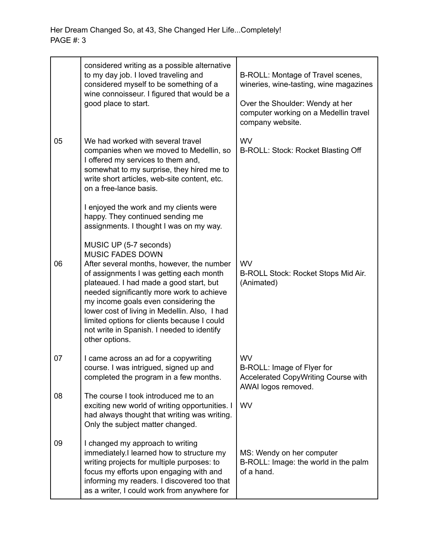|    | considered writing as a possible alternative<br>to my day job. I loved traveling and<br>considered myself to be something of a<br>wine connoisseur. I figured that would be a<br>good place to start.                                                                                                                                                                                                                                     | B-ROLL: Montage of Travel scenes,<br>wineries, wine-tasting, wine magazines<br>Over the Shoulder: Wendy at her<br>computer working on a Medellin travel<br>company website. |
|----|-------------------------------------------------------------------------------------------------------------------------------------------------------------------------------------------------------------------------------------------------------------------------------------------------------------------------------------------------------------------------------------------------------------------------------------------|-----------------------------------------------------------------------------------------------------------------------------------------------------------------------------|
| 05 | We had worked with several travel<br>companies when we moved to Medellin, so<br>I offered my services to them and,<br>somewhat to my surprise, they hired me to<br>write short articles, web-site content, etc.<br>on a free-lance basis.                                                                                                                                                                                                 | <b>WV</b><br>B-ROLL: Stock: Rocket Blasting Off                                                                                                                             |
|    | I enjoyed the work and my clients were<br>happy. They continued sending me<br>assignments. I thought I was on my way.                                                                                                                                                                                                                                                                                                                     |                                                                                                                                                                             |
| 06 | MUSIC UP (5-7 seconds)<br><b>MUSIC FADES DOWN</b><br>After several months, however, the number<br>of assignments I was getting each month<br>plateaued. I had made a good start, but<br>needed significantly more work to achieve<br>my income goals even considering the<br>lower cost of living in Medellin. Also, I had<br>limited options for clients because I could<br>not write in Spanish. I needed to identify<br>other options. | <b>WV</b><br>B-ROLL Stock: Rocket Stops Mid Air.<br>(Animated)                                                                                                              |
| 07 | I came across an ad for a copywriting<br>course. I was intrigued, signed up and<br>completed the program in a few months.                                                                                                                                                                                                                                                                                                                 | WV<br>B-ROLL: Image of Flyer for<br>Accelerated CopyWriting Course with<br>AWAI logos removed.                                                                              |
| 08 | The course I took introduced me to an<br>exciting new world of writing opportunities. I<br>had always thought that writing was writing.<br>Only the subject matter changed.                                                                                                                                                                                                                                                               | WV                                                                                                                                                                          |
| 09 | I changed my approach to writing<br>immediately.I learned how to structure my<br>writing projects for multiple purposes: to<br>focus my efforts upon engaging with and<br>informing my readers. I discovered too that<br>as a writer, I could work from anywhere for                                                                                                                                                                      | MS: Wendy on her computer<br>B-ROLL: Image: the world in the palm<br>of a hand.                                                                                             |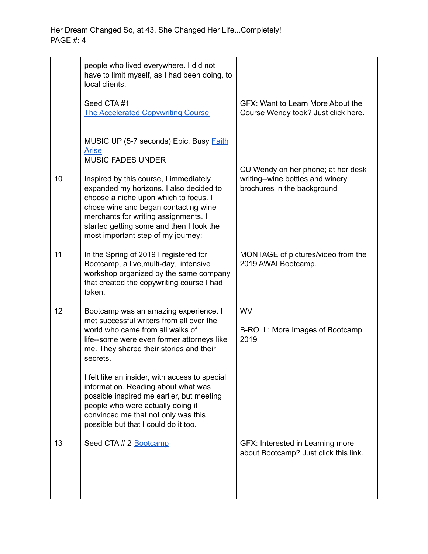|    | people who lived everywhere. I did not<br>have to limit myself, as I had been doing, to<br>local clients.                                                                                                                                                                                                                                                        |                                                                                                       |
|----|------------------------------------------------------------------------------------------------------------------------------------------------------------------------------------------------------------------------------------------------------------------------------------------------------------------------------------------------------------------|-------------------------------------------------------------------------------------------------------|
|    | Seed CTA#1<br><b>The Accelerated Copywriting Course</b>                                                                                                                                                                                                                                                                                                          | GFX: Want to Learn More About the<br>Course Wendy took? Just click here.                              |
|    | MUSIC UP (5-7 seconds) Epic, Busy <b>Faith</b><br><b>Arise</b><br><b>MUSIC FADES UNDER</b>                                                                                                                                                                                                                                                                       |                                                                                                       |
| 10 | Inspired by this course, I immediately<br>expanded my horizons. I also decided to<br>choose a niche upon which to focus. I<br>chose wine and began contacting wine<br>merchants for writing assignments. I<br>started getting some and then I took the<br>most important step of my journey:                                                                     | CU Wendy on her phone; at her desk<br>writing--wine bottles and winery<br>brochures in the background |
| 11 | In the Spring of 2019 I registered for<br>Bootcamp, a live, multi-day, intensive<br>workshop organized by the same company<br>that created the copywriting course I had<br>taken.                                                                                                                                                                                | MONTAGE of pictures/video from the<br>2019 AWAI Bootcamp.                                             |
| 12 | Bootcamp was an amazing experience. I<br>met successful writers from all over the<br>world who came from all walks of<br>life--some were even former attorneys like<br>me. They shared their stories and their<br>secrets.<br>I felt like an insider, with access to special<br>information. Reading about what was<br>possible inspired me earlier, but meeting | WV<br>B-ROLL: More Images of Bootcamp<br>2019                                                         |
|    | people who were actually doing it<br>convinced me that not only was this<br>possible but that I could do it too.                                                                                                                                                                                                                                                 |                                                                                                       |
| 13 | Seed CTA # 2 Bootcamp                                                                                                                                                                                                                                                                                                                                            | GFX: Interested in Learning more<br>about Bootcamp? Just click this link.                             |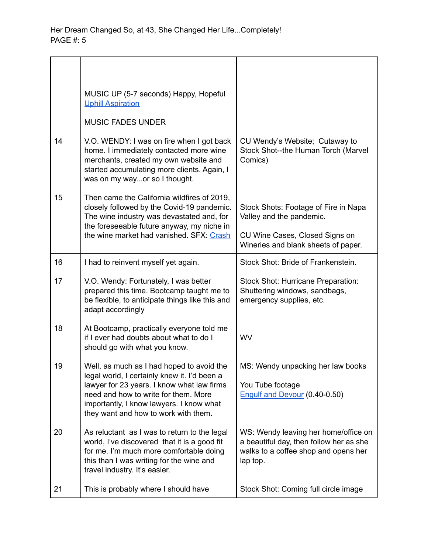|    | MUSIC UP (5-7 seconds) Happy, Hopeful<br><b>Uphill Aspiration</b>                                                                                                                                                      |                                                                                                                                     |
|----|------------------------------------------------------------------------------------------------------------------------------------------------------------------------------------------------------------------------|-------------------------------------------------------------------------------------------------------------------------------------|
|    | <b>MUSIC FADES UNDER</b>                                                                                                                                                                                               |                                                                                                                                     |
| 14 | V.O. WENDY: I was on fire when I got back<br>home. I immediately contacted more wine<br>merchants, created my own website and<br>started accumulating more clients. Again, I<br>was on my wayor so I thought.          | CU Wendy's Website; Cutaway to<br>Stock Shot--the Human Torch (Marvel<br>Comics)                                                    |
| 15 | Then came the California wildfires of 2019,<br>closely followed by the Covid-19 pandemic.<br>The wine industry was devastated and, for<br>the foreseeable future anyway, my niche in                                   | Stock Shots: Footage of Fire in Napa<br>Valley and the pandemic.                                                                    |
|    | the wine market had vanished. SFX: Crash                                                                                                                                                                               | CU Wine Cases, Closed Signs on<br>Wineries and blank sheets of paper.                                                               |
| 16 | I had to reinvent myself yet again.                                                                                                                                                                                    | Stock Shot: Bride of Frankenstein.                                                                                                  |
| 17 | V.O. Wendy: Fortunately, I was better<br>prepared this time. Bootcamp taught me to<br>be flexible, to anticipate things like this and<br>adapt accordingly                                                             | Stock Shot: Hurricane Preparation:<br>Shuttering windows, sandbags,<br>emergency supplies, etc.                                     |
| 18 | At Bootcamp, practically everyone told me<br>if I ever had doubts about what to do I<br>should go with what you know.                                                                                                  | WV                                                                                                                                  |
| 19 | Well, as much as I had hoped to avoid the                                                                                                                                                                              | MS: Wendy unpacking her law books                                                                                                   |
|    | legal world, I certainly knew it. I'd been a<br>lawyer for 23 years. I know what law firms<br>need and how to write for them. More<br>importantly, I know lawyers. I know what<br>they want and how to work with them. | You Tube footage<br>Engulf and Devour (0.40-0.50)                                                                                   |
| 20 | As reluctant as I was to return to the legal<br>world, I've discovered that it is a good fit<br>for me. I'm much more comfortable doing<br>this than I was writing for the wine and<br>travel industry. It's easier.   | WS: Wendy leaving her home/office on<br>a beautiful day, then follow her as she<br>walks to a coffee shop and opens her<br>lap top. |
| 21 | This is probably where I should have                                                                                                                                                                                   | Stock Shot: Coming full circle image                                                                                                |